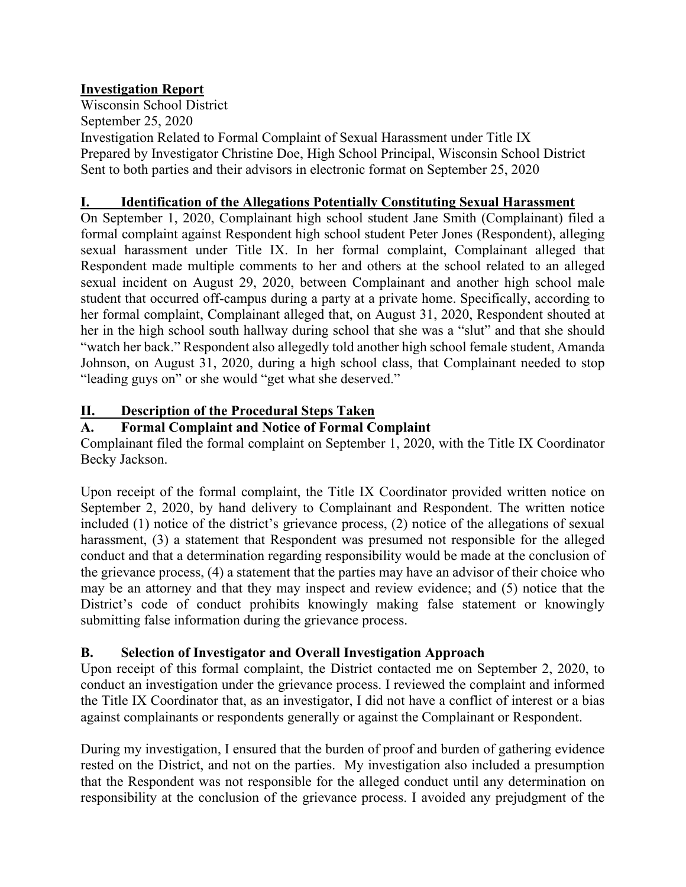### **Investigation Report**

Wisconsin School District September 25, 2020 Investigation Related to Formal Complaint of Sexual Harassment under Title IX Prepared by Investigator Christine Doe, High School Principal, Wisconsin School District Sent to both parties and their advisors in electronic format on September 25, 2020

#### **I. Identification of the Allegations Potentially Constituting Sexual Harassment**

On September 1, 2020, Complainant high school student Jane Smith (Complainant) filed a formal complaint against Respondent high school student Peter Jones (Respondent), alleging sexual harassment under Title IX. In her formal complaint, Complainant alleged that Respondent made multiple comments to her and others at the school related to an alleged sexual incident on August 29, 2020, between Complainant and another high school male student that occurred off-campus during a party at a private home. Specifically, according to her formal complaint, Complainant alleged that, on August 31, 2020, Respondent shouted at her in the high school south hallway during school that she was a "slut" and that she should "watch her back." Respondent also allegedly told another high school female student, Amanda Johnson, on August 31, 2020, during a high school class, that Complainant needed to stop "leading guys on" or she would "get what she deserved."

### **II. Description of the Procedural Steps Taken**

### **A. Formal Complaint and Notice of Formal Complaint**

Complainant filed the formal complaint on September 1, 2020, with the Title IX Coordinator Becky Jackson.

Upon receipt of the formal complaint, the Title IX Coordinator provided written notice on September 2, 2020, by hand delivery to Complainant and Respondent. The written notice included (1) notice of the district's grievance process, (2) notice of the allegations of sexual harassment, (3) a statement that Respondent was presumed not responsible for the alleged conduct and that a determination regarding responsibility would be made at the conclusion of the grievance process, (4) a statement that the parties may have an advisor of their choice who may be an attorney and that they may inspect and review evidence; and (5) notice that the District's code of conduct prohibits knowingly making false statement or knowingly submitting false information during the grievance process.

### **B. Selection of Investigator and Overall Investigation Approach**

Upon receipt of this formal complaint, the District contacted me on September 2, 2020, to conduct an investigation under the grievance process. I reviewed the complaint and informed the Title IX Coordinator that, as an investigator, I did not have a conflict of interest or a bias against complainants or respondents generally or against the Complainant or Respondent.

During my investigation, I ensured that the burden of proof and burden of gathering evidence rested on the District, and not on the parties. My investigation also included a presumption that the Respondent was not responsible for the alleged conduct until any determination on responsibility at the conclusion of the grievance process. I avoided any prejudgment of the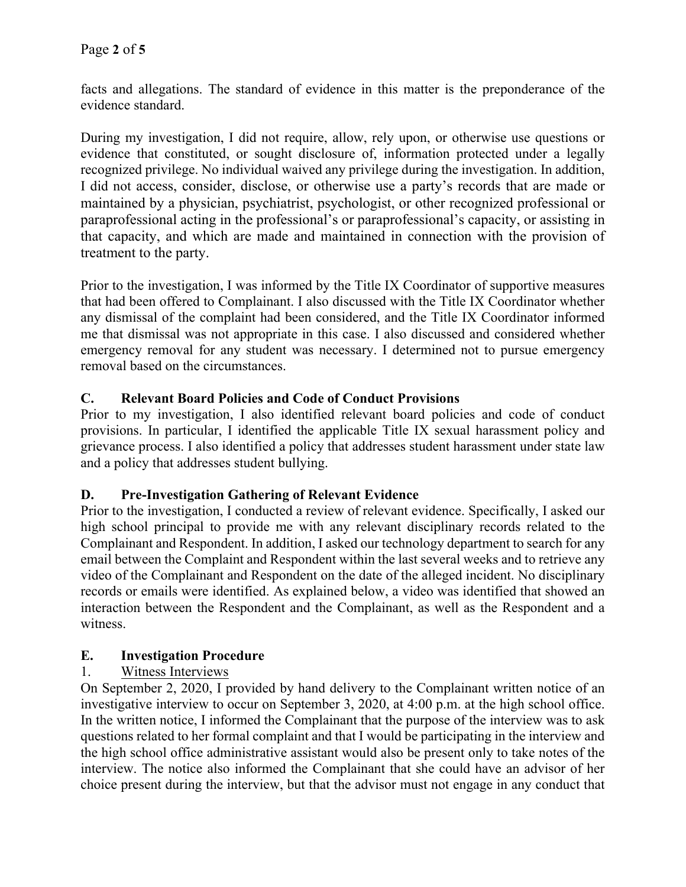facts and allegations. The standard of evidence in this matter is the preponderance of the evidence standard.

During my investigation, I did not require, allow, rely upon, or otherwise use questions or evidence that constituted, or sought disclosure of, information protected under a legally recognized privilege. No individual waived any privilege during the investigation. In addition, I did not access, consider, disclose, or otherwise use a party's records that are made or maintained by a physician, psychiatrist, psychologist, or other recognized professional or paraprofessional acting in the professional's or paraprofessional's capacity, or assisting in that capacity, and which are made and maintained in connection with the provision of treatment to the party.

Prior to the investigation, I was informed by the Title IX Coordinator of supportive measures that had been offered to Complainant. I also discussed with the Title IX Coordinator whether any dismissal of the complaint had been considered, and the Title IX Coordinator informed me that dismissal was not appropriate in this case. I also discussed and considered whether emergency removal for any student was necessary. I determined not to pursue emergency removal based on the circumstances.

### **C. Relevant Board Policies and Code of Conduct Provisions**

Prior to my investigation, I also identified relevant board policies and code of conduct provisions. In particular, I identified the applicable Title IX sexual harassment policy and grievance process. I also identified a policy that addresses student harassment under state law and a policy that addresses student bullying.

### **D. Pre-Investigation Gathering of Relevant Evidence**

Prior to the investigation, I conducted a review of relevant evidence. Specifically, I asked our high school principal to provide me with any relevant disciplinary records related to the Complainant and Respondent. In addition, I asked our technology department to search for any email between the Complaint and Respondent within the last several weeks and to retrieve any video of the Complainant and Respondent on the date of the alleged incident. No disciplinary records or emails were identified. As explained below, a video was identified that showed an interaction between the Respondent and the Complainant, as well as the Respondent and a witness.

# **E. Investigation Procedure**

# 1. Witness Interviews

On September 2, 2020, I provided by hand delivery to the Complainant written notice of an investigative interview to occur on September 3, 2020, at 4:00 p.m. at the high school office. In the written notice, I informed the Complainant that the purpose of the interview was to ask questions related to her formal complaint and that I would be participating in the interview and the high school office administrative assistant would also be present only to take notes of the interview. The notice also informed the Complainant that she could have an advisor of her choice present during the interview, but that the advisor must not engage in any conduct that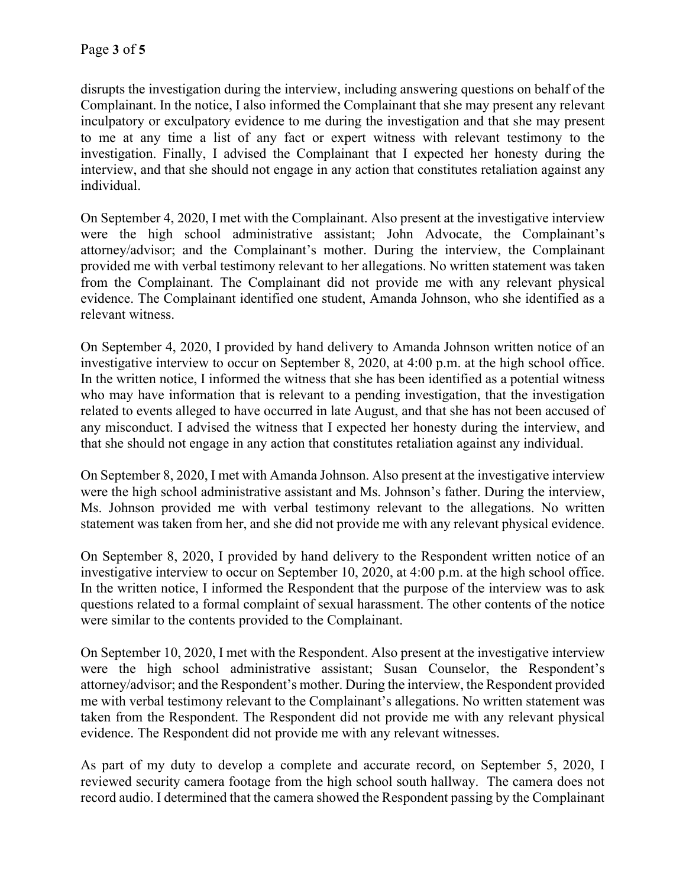disrupts the investigation during the interview, including answering questions on behalf of the Complainant. In the notice, I also informed the Complainant that she may present any relevant inculpatory or exculpatory evidence to me during the investigation and that she may present to me at any time a list of any fact or expert witness with relevant testimony to the investigation. Finally, I advised the Complainant that I expected her honesty during the interview, and that she should not engage in any action that constitutes retaliation against any individual.

On September 4, 2020, I met with the Complainant. Also present at the investigative interview were the high school administrative assistant; John Advocate, the Complainant's attorney/advisor; and the Complainant's mother. During the interview, the Complainant provided me with verbal testimony relevant to her allegations. No written statement was taken from the Complainant. The Complainant did not provide me with any relevant physical evidence. The Complainant identified one student, Amanda Johnson, who she identified as a relevant witness.

On September 4, 2020, I provided by hand delivery to Amanda Johnson written notice of an investigative interview to occur on September 8, 2020, at 4:00 p.m. at the high school office. In the written notice, I informed the witness that she has been identified as a potential witness who may have information that is relevant to a pending investigation, that the investigation related to events alleged to have occurred in late August, and that she has not been accused of any misconduct. I advised the witness that I expected her honesty during the interview, and that she should not engage in any action that constitutes retaliation against any individual.

On September 8, 2020, I met with Amanda Johnson. Also present at the investigative interview were the high school administrative assistant and Ms. Johnson's father. During the interview, Ms. Johnson provided me with verbal testimony relevant to the allegations. No written statement was taken from her, and she did not provide me with any relevant physical evidence.

On September 8, 2020, I provided by hand delivery to the Respondent written notice of an investigative interview to occur on September 10, 2020, at 4:00 p.m. at the high school office. In the written notice, I informed the Respondent that the purpose of the interview was to ask questions related to a formal complaint of sexual harassment. The other contents of the notice were similar to the contents provided to the Complainant.

On September 10, 2020, I met with the Respondent. Also present at the investigative interview were the high school administrative assistant; Susan Counselor, the Respondent's attorney/advisor; and the Respondent's mother. During the interview, the Respondent provided me with verbal testimony relevant to the Complainant's allegations. No written statement was taken from the Respondent. The Respondent did not provide me with any relevant physical evidence. The Respondent did not provide me with any relevant witnesses.

As part of my duty to develop a complete and accurate record, on September 5, 2020, I reviewed security camera footage from the high school south hallway. The camera does not record audio. I determined that the camera showed the Respondent passing by the Complainant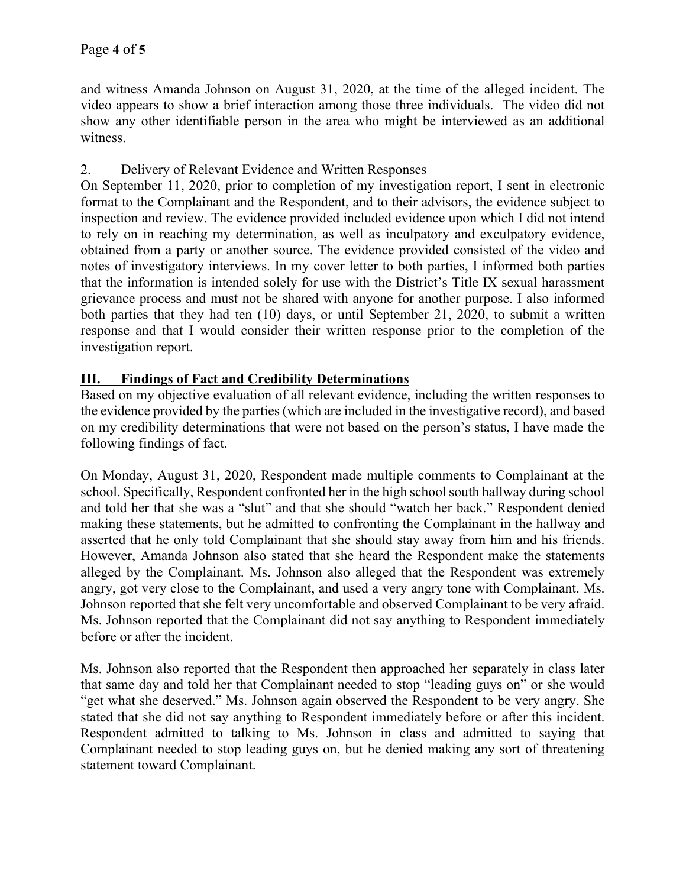and witness Amanda Johnson on August 31, 2020, at the time of the alleged incident. The video appears to show a brief interaction among those three individuals. The video did not show any other identifiable person in the area who might be interviewed as an additional witness.

### 2. Delivery of Relevant Evidence and Written Responses

On September 11, 2020, prior to completion of my investigation report, I sent in electronic format to the Complainant and the Respondent, and to their advisors, the evidence subject to inspection and review. The evidence provided included evidence upon which I did not intend to rely on in reaching my determination, as well as inculpatory and exculpatory evidence, obtained from a party or another source. The evidence provided consisted of the video and notes of investigatory interviews. In my cover letter to both parties, I informed both parties that the information is intended solely for use with the District's Title IX sexual harassment grievance process and must not be shared with anyone for another purpose. I also informed both parties that they had ten (10) days, or until September 21, 2020, to submit a written response and that I would consider their written response prior to the completion of the investigation report.

### **III. Findings of Fact and Credibility Determinations**

Based on my objective evaluation of all relevant evidence, including the written responses to the evidence provided by the parties (which are included in the investigative record), and based on my credibility determinations that were not based on the person's status, I have made the following findings of fact.

On Monday, August 31, 2020, Respondent made multiple comments to Complainant at the school. Specifically, Respondent confronted her in the high school south hallway during school and told her that she was a "slut" and that she should "watch her back." Respondent denied making these statements, but he admitted to confronting the Complainant in the hallway and asserted that he only told Complainant that she should stay away from him and his friends. However, Amanda Johnson also stated that she heard the Respondent make the statements alleged by the Complainant. Ms. Johnson also alleged that the Respondent was extremely angry, got very close to the Complainant, and used a very angry tone with Complainant. Ms. Johnson reported that she felt very uncomfortable and observed Complainant to be very afraid. Ms. Johnson reported that the Complainant did not say anything to Respondent immediately before or after the incident.

Ms. Johnson also reported that the Respondent then approached her separately in class later that same day and told her that Complainant needed to stop "leading guys on" or she would "get what she deserved." Ms. Johnson again observed the Respondent to be very angry. She stated that she did not say anything to Respondent immediately before or after this incident. Respondent admitted to talking to Ms. Johnson in class and admitted to saying that Complainant needed to stop leading guys on, but he denied making any sort of threatening statement toward Complainant.